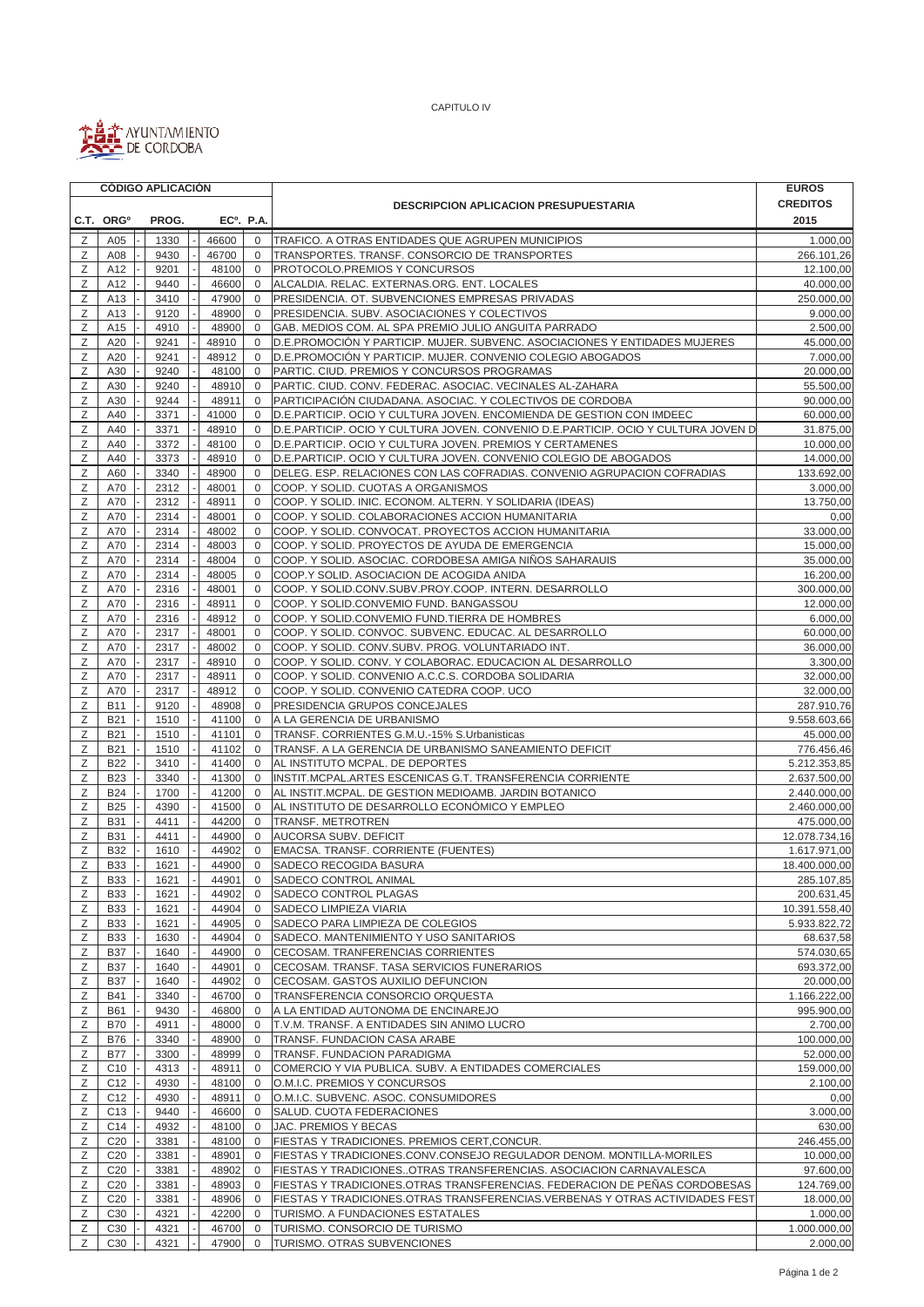

CAPITULO IV

|        | <b>CÓDIGO APLICACIÓN</b> |              |                        |                              |                                                                                   | <b>EUROS</b>            |
|--------|--------------------------|--------------|------------------------|------------------------------|-----------------------------------------------------------------------------------|-------------------------|
|        |                          |              |                        |                              | <b>DESCRIPCION APLICACION PRESUPUESTARIA</b>                                      | <b>CREDITOS</b>         |
|        | C.T. ORG <sup>o</sup>    | PROG.        | EC <sup>o</sup> . P.A. |                              |                                                                                   | 2015                    |
| Ζ      | A05                      | 1330         | 46600                  | $\mathbf 0$                  | TRAFICO. A OTRAS ENTIDADES QUE AGRUPEN MUNICIPIOS                                 | 1.000,00                |
| Ζ      | A08                      | 9430         | 46700                  | $\mathbf 0$                  | TRANSPORTES. TRANSF. CONSORCIO DE TRANSPORTES                                     | 266.101,26              |
| Ζ      | A12                      | 9201         | 48100                  | $\mathbf 0$                  | PROTOCOLO.PREMIOS Y CONCURSOS                                                     | 12.100,00               |
| Ζ      | A12                      | 9440         | 46600                  | $\mathbf 0$                  | ALCALDIA. RELAC. EXTERNAS.ORG. ENT. LOCALES                                       | 40.000,00               |
| Ζ      | A13                      | 3410         | 47900                  | $\mathbf 0$                  | PRESIDENCIA. OT. SUBVENCIONES EMPRESAS PRIVADAS                                   | 250.000,00              |
| Ζ      | A13                      | 9120         | 48900                  | $\mathbf 0$                  | PRESIDENCIA. SUBV. ASOCIACIONES Y COLECTIVOS                                      | 9.000,00                |
| Ζ      | A15                      | 4910         | 48900                  | $\mathbf 0$                  | GAB. MEDIOS COM. AL SPA PREMIO JULIO ANGUITA PARRADO                              | 2.500,00                |
| Ζ      | A20                      | 9241         | 48910                  | $\mathbf 0$                  | D.E.PROMOCIÓN Y PARTICIP. MUJER. SUBVENC. ASOCIACIONES Y ENTIDADES MUJERES        | 45.000,00               |
| Ζ      | A20                      | 9241         | 48912                  | $\mathbf 0$                  | D.E.PROMOCIÓN Y PARTICIP. MUJER. CONVENIO COLEGIO ABOGADOS                        | 7.000,00                |
| Ζ      | A30                      | 9240         | 48100                  | $\mathbf{0}$                 | PARTIC. CIUD. PREMIOS Y CONCURSOS PROGRAMAS                                       | 20.000,00               |
| Ζ      | A30                      | 9240         | 48910                  | 0                            | PARTIC. CIUD. CONV. FEDERAC. ASOCIAC. VECINALES AL-ZAHARA                         | 55.500,00               |
| Ζ      | A30                      | 9244         | 48911                  | $\mathbf 0$                  | PARTICIPACIÓN CIUDADANA. ASOCIAC. Y COLECTIVOS DE CORDOBA                         | 90.000,00               |
| Ζ      | A40                      | 3371         | 41000                  | $\mathbf 0$                  | D.E.PARTICIP. OCIO Y CULTURA JOVEN. ENCOMIENDA DE GESTION CON IMDEEC              | 60.000,00               |
| Ζ      | A40                      | 3371         | 48910                  | $\mathbf 0$                  | D.E.PARTICIP. OCIO Y CULTURA JOVEN. CONVENIO D.E.PARTICIP. OCIO Y CULTURA JOVEN D | 31.875,00               |
| Ζ      | A40                      | 3372         | 48100                  | $\mathbf 0$                  | D.E.PARTICIP. OCIO Y CULTURA JOVEN. PREMIOS Y CERTAMENES                          | 10.000,00               |
| Ζ      | A40                      | 3373         | 48910                  | 0                            | D.E.PARTICIP. OCIO Y CULTURA JOVEN. CONVENIO COLEGIO DE ABOGADOS                  | 14.000,00               |
| Ζ      | A60                      | 3340         | 48900                  | $\mathbf{0}$                 | DELEG. ESP. RELACIONES CON LAS COFRADIAS. CONVENIO AGRUPACION COFRADIAS           | 133.692,00              |
| Ζ      | A70                      | 2312         | 48001                  | $\mathbf 0$                  | COOP. Y SOLID. CUOTAS A ORGANISMOS                                                | 3.000,00                |
| Ζ      | A70                      | 2312         | 48911                  | $\mathbf{0}$                 | COOP. Y SOLID. INIC. ECONOM. ALTERN. Y SOLIDARIA (IDEAS)                          | 13.750,00               |
| Z      | A70                      | 2314         | 48001                  | $\mathbf{0}$                 | COOP. Y SOLID. COLABORACIONES ACCION HUMANITARIA                                  | 0,00                    |
| Ζ      | A70                      | 2314         | 48002                  | 0                            | COOP. Y SOLID. CONVOCAT. PROYECTOS ACCION HUMANITARIA                             | 33.000,00               |
| Z      | A70                      | 2314         | 48003                  | $\mathbf 0$                  | COOP. Y SOLID. PROYECTOS DE AYUDA DE EMERGENCIA                                   | 15.000,00               |
| Ζ      | A70                      | 2314         | 48004                  | $\mathbf 0$                  | COOP. Y SOLID. ASOCIAC. CORDOBESA AMIGA NIÑOS SAHARAUIS                           | 35.000,00               |
| Ζ      | A70                      | 2314         | 48005                  | $\mathbf{0}$                 | COOP.Y SOLID. ASOCIACION DE ACOGIDA ANIDA                                         | 16.200,00               |
| Ζ      | A70                      | 2316         | 48001                  | 0                            | COOP. Y SOLID.CONV.SUBV.PROY.COOP. INTERN. DESARROLLO                             | 300.000,00              |
| Ζ      | A70                      | 2316         | 48911                  | $\mathbf{0}$                 | COOP. Y SOLID.CONVEMIO FUND. BANGASSOU                                            | 12.000,00               |
| Ζ      | A70                      | 2316         | 48912                  | 0                            | COOP. Y SOLID.CONVEMIO FUND.TIERRA DE HOMBRES                                     | 6.000,00                |
| Ζ      | A70                      | 2317         | 48001                  | 0                            | COOP. Y SOLID. CONVOC. SUBVENC. EDUCAC. AL DESARROLLO                             | 60.000,00               |
| Ζ      | A70                      | 2317         | 48002                  | 0                            | COOP. Y SOLID. CONV.SUBV. PROG. VOLUNTARIADO INT.                                 | 36.000,00               |
| Z      | A70                      | 2317         | 48910                  | $\mathbf 0$                  | COOP. Y SOLID. CONV. Y COLABORAC. EDUCACION AL DESARROLLO                         | 3.300,00                |
| Ζ      | A70                      | 2317         | 48911                  | $\mathbf 0$                  | COOP. Y SOLID. CONVENIO A.C.C.S. CORDOBA SOLIDARIA                                | 32.000,00               |
| Ζ      | A70                      | 2317         | 48912                  | $\mathbf 0$                  | COOP. Y SOLID. CONVENIO CATEDRA COOP. UCO                                         | 32.000,00               |
| Ζ      | <b>B11</b>               | 9120         | 48908                  | $\mathbf 0$                  | PRESIDENCIA GRUPOS CONCEJALES                                                     | 287.910,76              |
| Ζ      | <b>B21</b>               | 1510         | 41100                  | $\mathbf 0$                  | A LA GERENCIA DE URBANISMO                                                        | 9.558.603,66            |
| Ζ      | <b>B21</b>               | 1510         | 41101                  | $\mathbf 0$                  | TRANSF. CORRIENTES G.M.U.-15% S.Urbanisticas                                      | 45.000,00               |
| Ζ      | <b>B21</b>               | 1510         | 41102                  | $\mathbf 0$                  | TRANSF. A LA GERENCIA DE URBANISMO SANEAMIENTO DEFICIT                            | 776.456,46              |
| Ζ      | <b>B22</b>               | 3410         | 41400                  | $\mathbf{0}$                 | AL INSTITUTO MCPAL. DE DEPORTES                                                   | 5.212.353,85            |
| Ζ      | <b>B23</b>               | 3340         | 41300                  | $\mathbf 0$                  | INSTIT.MCPAL.ARTES ESCENICAS G.T. TRANSFERENCIA CORRIENTE                         | 2.637.500,00            |
| Ζ      | <b>B24</b>               | 1700         | 41200                  | $\mathbf 0$                  | AL INSTIT.MCPAL. DE GESTION MEDIOAMB. JARDIN BOTANICO                             | 2.440.000,00            |
| Ζ      | <b>B25</b>               | 4390         | 41500                  | $\mathbf 0$                  | AL INSTITUTO DE DESARROLLO ECONÓMICO Y EMPLEO                                     | 2.460.000,00            |
| Ζ      | <b>B31</b>               | 4411         | 44200                  | 0                            | <b>TRANSF. METROTREN</b>                                                          | 475.000,00              |
| Ζ      | <b>B31</b>               | 4411         | 44900                  | $\mathbf{0}$                 | AUCORSA SUBV. DEFICIT                                                             | 12.078.734,16           |
| Ζ      | <b>B32</b>               | 1610         | 44902                  | $\mathbf 0$                  | EMACSA. TRANSF. CORRIENTE (FUENTES)                                               | 1.617.971,00            |
| Ζ      | <b>B33</b>               | 1621         | 44900                  | $\mathbf 0$                  | SADECO RECOGIDA BASURA                                                            | 18.400.000,00           |
| Ζ      | <b>B33</b>               | 1621         | 44901                  | $\mathbf 0$                  | SADECO CONTROL ANIMAL                                                             | 285.107,85              |
| Ζ      | <b>B33</b>               | 1621         | 44902                  | 0                            | SADECO CONTROL PLAGAS                                                             | 200.631,45              |
| Ζ      | <b>B33</b>               | 1621         | 44904                  | $\mathbf{0}$                 | SADECO LIMPIEZA VIARIA                                                            | 10.391.558,40           |
| Ζ      | <b>B33</b>               | 1621         | 44905                  | $\mathbf 0$                  | SADECO PARA LIMPIEZA DE COLEGIOS                                                  | 5.933.822,72            |
| Ζ      | <b>B33</b>               | 1630         | 44904                  | $\mathbf{0}$                 | SADECO. MANTENIMIENTO Y USO SANITARIOS<br>CECOSAM. TRANFERENCIAS CORRIENTES       | 68.637,58               |
| Ζ<br>Ζ | <b>B37</b><br><b>B37</b> | 1640<br>1640 | 44900<br>44901         | $\mathbf{0}$<br>$\mathbf{0}$ | CECOSAM. TRANSF. TASA SERVICIOS FUNERARIOS                                        | 574.030,65              |
| Ζ      | <b>B37</b>               | 1640         | 44902                  | 0                            | CECOSAM. GASTOS AUXILIO DEFUNCION                                                 | 693.372,00<br>20.000,00 |
| Ζ      | <b>B41</b>               | 3340         | 46700                  | 0                            | TRANSFERENCIA CONSORCIO ORQUESTA                                                  | 1.166.222,00            |
| Ζ      | <b>B61</b>               | 9430         | 46800                  | $\mathbf 0$                  | A LA ENTIDAD AUTONOMA DE ENCINAREJO                                               | 995.900,00              |
| Ζ      | <b>B70</b>               | 4911         | 48000                  | $\mathbf 0$                  | T.V.M. TRANSF. A ENTIDADES SIN ANIMO LUCRO                                        | 2.700,00                |
| Ζ      | <b>B76</b>               | 3340         | 48900                  | $\mathbf{0}$                 | TRANSF. FUNDACION CASA ARABE                                                      | 100.000,00              |
| Ζ      | <b>B77</b>               | 3300         | 48999                  | $\mathbf 0$                  | TRANSF. FUNDACION PARADIGMA                                                       | 52.000,00               |
| Ζ      | C <sub>10</sub>          | 4313         | 48911                  | $\mathbf 0$                  | COMERCIO Y VIA PUBLICA. SUBV. A ENTIDADES COMERCIALES                             | 159.000,00              |
| Ζ      | C <sub>12</sub>          | 4930         | 48100                  | 0                            | O.M.I.C. PREMIOS Y CONCURSOS                                                      | 2.100,00                |
| Ζ      | C <sub>12</sub>          | 4930         | 48911                  | $\mathbf 0$                  | O.M.I.C. SUBVENC. ASOC. CONSUMIDORES                                              | 0,00                    |
| Ζ      | C <sub>13</sub>          | 9440         | 46600                  | $\mathbf 0$                  | SALUD. CUOTA FEDERACIONES                                                         | 3.000,00                |
| Ζ      | C14                      | 4932         | 48100                  | $\mathbf 0$                  | JAC. PREMIOS Y BECAS                                                              | 630,00                  |
| Ζ      | C <sub>20</sub>          | 3381         | 48100                  | $\mathbf 0$                  | FIESTAS Y TRADICIONES. PREMIOS CERT, CONCUR.                                      | 246.455,00              |
| Ζ      | C <sub>20</sub>          | 3381         | 48901                  | $\mathbf 0$                  | FIESTAS Y TRADICIONES.CONV.CONSEJO REGULADOR DENOM. MONTILLA-MORILES              | 10.000,00               |
| Ζ      | C <sub>20</sub>          | 3381         | 48902                  | $\mathbf{0}$                 | FIESTAS Y TRADICIONESOTRAS TRANSFERENCIAS. ASOCIACION CARNAVALESCA                | 97.600,00               |
| Ζ      | C <sub>20</sub>          | 3381         | 48903                  | 0                            | FIESTAS Y TRADICIONES.OTRAS TRANSFERENCIAS. FEDERACION DE PEÑAS CORDOBESAS        | 124.769,00              |
| Ζ      | C <sub>20</sub>          | 3381         | 48906                  | $\mathbf 0$                  | FIESTAS Y TRADICIONES.OTRAS TRANSFERENCIAS.VERBENAS Y OTRAS ACTIVIDADES FEST      | 18.000,00               |
| Ζ      | C <sub>30</sub>          | 4321         | 42200                  | $\mathbf 0$                  | TURISMO. A FUNDACIONES ESTATALES                                                  | 1.000,00                |
| Ζ      | C <sub>30</sub>          | 4321         | 46700                  | 0                            | TURISMO. CONSORCIO DE TURISMO                                                     | 1.000.000,00            |
| Ζ      | C <sub>30</sub>          | 4321         | 47900                  | $\mathbf 0$                  | TURISMO. OTRAS SUBVENCIONES                                                       | 2.000,00                |
|        |                          |              |                        |                              |                                                                                   |                         |